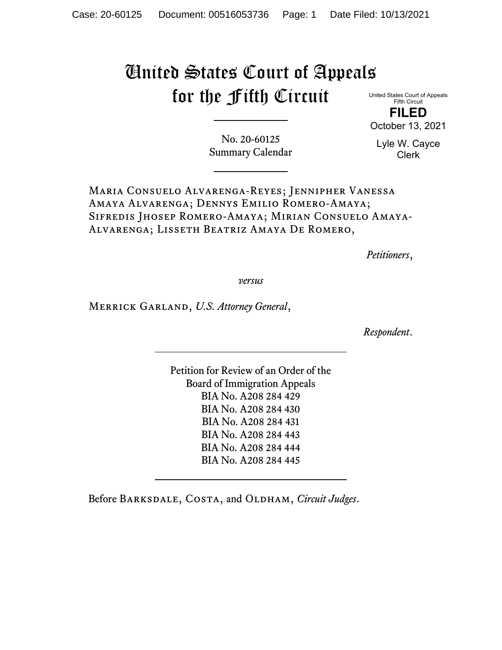# United States Court of Appeals for the Fifth Circuit

United States Court of Appeals Fifth Circuit **FILED**

October 13, 2021

No. 20-60125 Summary Calendar Lyle W. Cayce Clerk

Maria Consuelo Alvarenga-Reyes; Jennipher Vanessa Amaya Alvarenga; Dennys Emilio Romero-Amaya; Sifredis Jhosep Romero-Amaya; Mirian Consuelo Amaya-Alvarenga; Lisseth Beatriz Amaya De Romero,

*Petitioners*,

*versus*

Merrick Garland, *U.S. Attorney General*,

*Respondent*.

Petition for Review of an Order of the Board of Immigration Appeals BIA No. A208 284 429 BIA No. A208 284 430 BIA No. A208 284 431 BIA No. A208 284 443 BIA No. A208 284 444 BIA No. A208 284 445

Before BARKSDALE, COSTA, and OLDHAM, *Circuit Judges*.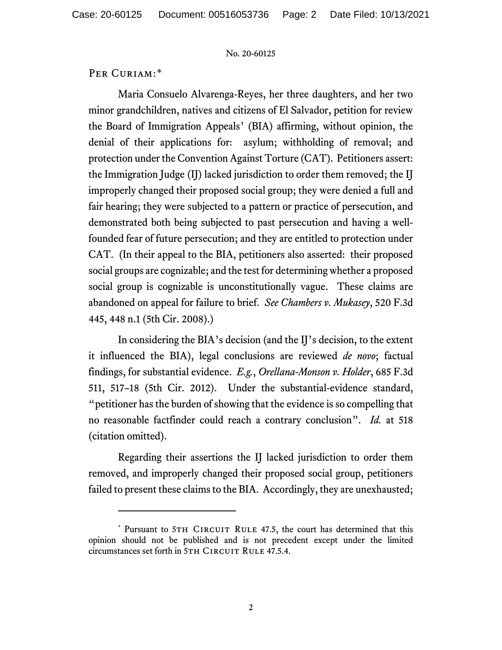#### No. 20-60125

## PER CURIAM:[\\*](#page-1-0)

Maria Consuelo Alvarenga-Reyes, her three daughters, and her two minor grandchildren, natives and citizens of El Salvador, petition for review the Board of Immigration Appeals' (BIA) affirming, without opinion, the denial of their applications for: asylum; withholding of removal; and protection under the Convention Against Torture (CAT). Petitioners assert: the Immigration Judge (IJ) lacked jurisdiction to order them removed; the IJ improperly changed their proposed social group; they were denied a full and fair hearing; they were subjected to a pattern or practice of persecution, and demonstrated both being subjected to past persecution and having a wellfounded fear of future persecution; and they are entitled to protection under CAT. (In their appeal to the BIA, petitioners also asserted: their proposed social groups are cognizable; and the test for determining whether a proposed social group is cognizable is unconstitutionally vague. These claims are abandoned on appeal for failure to brief. *See Chambers v. Mukasey*, 520 F.3d 445, 448 n.1 (5th Cir. 2008).)

In considering the BIA's decision (and the IJ's decision, to the extent it influenced the BIA), legal conclusions are reviewed *de novo*; factual findings, for substantial evidence. *E.g.*, *Orellana-Monson v. Holder*, 685 F.3d 511, 517–18 (5th Cir. 2012). Under the substantial-evidence standard, "petitioner has the burden of showing that the evidence is so compelling that no reasonable factfinder could reach a contrary conclusion". *Id.* at 518 (citation omitted).

Regarding their assertions the IJ lacked jurisdiction to order them removed, and improperly changed their proposed social group, petitioners failed to present these claims to the BIA. Accordingly, they are unexhausted;

<span id="page-1-0"></span><sup>\*</sup> Pursuant to 5TH CIRCUIT RULE 47.5, the court has determined that this opinion should not be published and is not precedent except under the limited circumstances set forth in 5TH CIRCUIT RULE 47.5.4.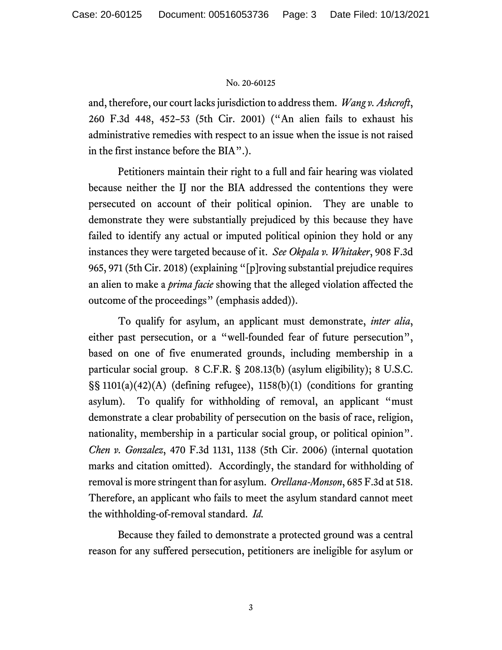### No. 20-60125

and, therefore, our court lacks jurisdiction to address them. *Wang v. Ashcroft*, 260 F.3d 448, 452–53 (5th Cir. 2001) ("An alien fails to exhaust his administrative remedies with respect to an issue when the issue is not raised in the first instance before the BIA".).

Petitioners maintain their right to a full and fair hearing was violated because neither the IJ nor the BIA addressed the contentions they were persecuted on account of their political opinion. They are unable to demonstrate they were substantially prejudiced by this because they have failed to identify any actual or imputed political opinion they hold or any instances they were targeted because of it. *See Okpala v. Whitaker*, 908 F.3d 965, 971 (5th Cir. 2018) (explaining "[p]roving substantial prejudice requires an alien to make a *prima facie* showing that the alleged violation affected the outcome of the proceedings" (emphasis added)).

To qualify for asylum, an applicant must demonstrate, *inter alia*, either past persecution, or a "well-founded fear of future persecution", based on one of five enumerated grounds, including membership in a particular social group. 8 C.F.R. § 208.13(b) (asylum eligibility); 8 U.S.C. §§ 1101(a)(42)(A) (defining refugee), 1158(b)(1) (conditions for granting asylum). To qualify for withholding of removal, an applicant "must demonstrate a clear probability of persecution on the basis of race, religion, nationality, membership in a particular social group, or political opinion". *Chen v. Gonzalez*, 470 F.3d 1131, 1138 (5th Cir. 2006) (internal quotation marks and citation omitted). Accordingly, the standard for withholding of removal is more stringent than for asylum. *Orellana-Monson*, 685 F.3d at 518. Therefore, an applicant who fails to meet the asylum standard cannot meet the withholding-of-removal standard. *Id.*

Because they failed to demonstrate a protected ground was a central reason for any suffered persecution, petitioners are ineligible for asylum or